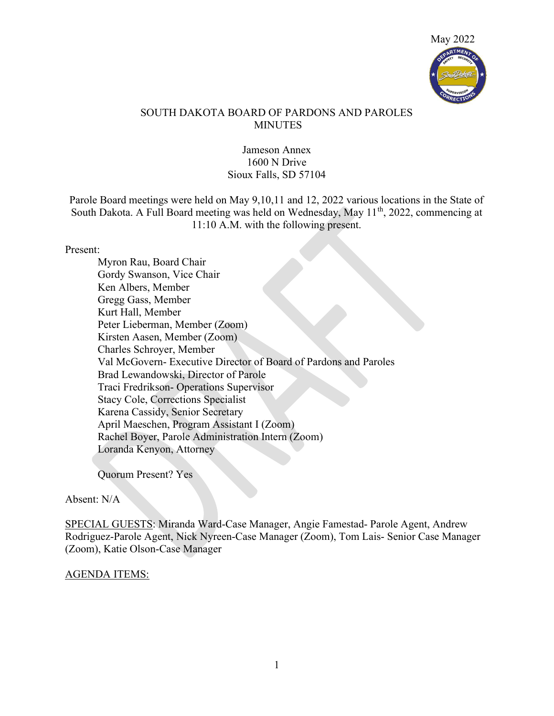

### SOUTH DAKOTA BOARD OF PARDONS AND PAROLES MINUTES

### Jameson Annex 1600 N Drive Sioux Falls, SD 57104

Parole Board meetings were held on May 9,10,11 and 12, 2022 various locations in the State of South Dakota. A Full Board meeting was held on Wednesday, May 11<sup>th</sup>, 2022, commencing at 11:10 A.M. with the following present.

#### Present:

Myron Rau, Board Chair Gordy Swanson, Vice Chair Ken Albers, Member Gregg Gass, Member Kurt Hall, Member Peter Lieberman, Member (Zoom) Kirsten Aasen, Member (Zoom) Charles Schroyer, Member Val McGovern- Executive Director of Board of Pardons and Paroles Brad Lewandowski, Director of Parole Traci Fredrikson- Operations Supervisor Stacy Cole, Corrections Specialist Karena Cassidy, Senior Secretary April Maeschen, Program Assistant I (Zoom) Rachel Boyer, Parole Administration Intern (Zoom) Loranda Kenyon, Attorney

Quorum Present? Yes

Absent: N/A

SPECIAL GUESTS: Miranda Ward-Case Manager, Angie Famestad- Parole Agent, Andrew Rodriguez-Parole Agent, Nick Nyreen-Case Manager (Zoom), Tom Lais- Senior Case Manager (Zoom), Katie Olson-Case Manager

### AGENDA ITEMS: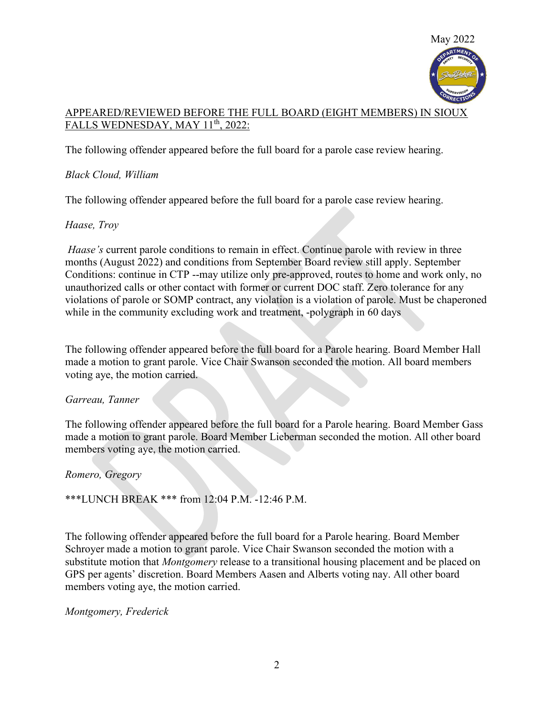

# APPEARED/REVIEWED BEFORE THE FULL BOARD (EIGHT MEMBERS) IN SIOUX FALLS WEDNESDAY, MAY 11<sup>th</sup>, 2022:

The following offender appeared before the full board for a parole case review hearing.

# Black Cloud, William

The following offender appeared before the full board for a parole case review hearing.

# Haase, Troy

Haase's current parole conditions to remain in effect. Continue parole with review in three months (August 2022) and conditions from September Board review still apply. September Conditions: continue in CTP --may utilize only pre-approved, routes to home and work only, no unauthorized calls or other contact with former or current DOC staff. Zero tolerance for any violations of parole or SOMP contract, any violation is a violation of parole. Must be chaperoned while in the community excluding work and treatment, -polygraph in 60 days

The following offender appeared before the full board for a Parole hearing. Board Member Hall made a motion to grant parole. Vice Chair Swanson seconded the motion. All board members voting aye, the motion carried.

### Garreau, Tanner

The following offender appeared before the full board for a Parole hearing. Board Member Gass made a motion to grant parole. Board Member Lieberman seconded the motion. All other board members voting aye, the motion carried.

### Romero, Gregory

\*\*\*LUNCH BREAK \*\*\* from 12:04 P.M. -12:46 P.M.

The following offender appeared before the full board for a Parole hearing. Board Member Schroyer made a motion to grant parole. Vice Chair Swanson seconded the motion with a substitute motion that *Montgomery* release to a transitional housing placement and be placed on GPS per agents' discretion. Board Members Aasen and Alberts voting nay. All other board members voting aye, the motion carried.

# Montgomery, Frederick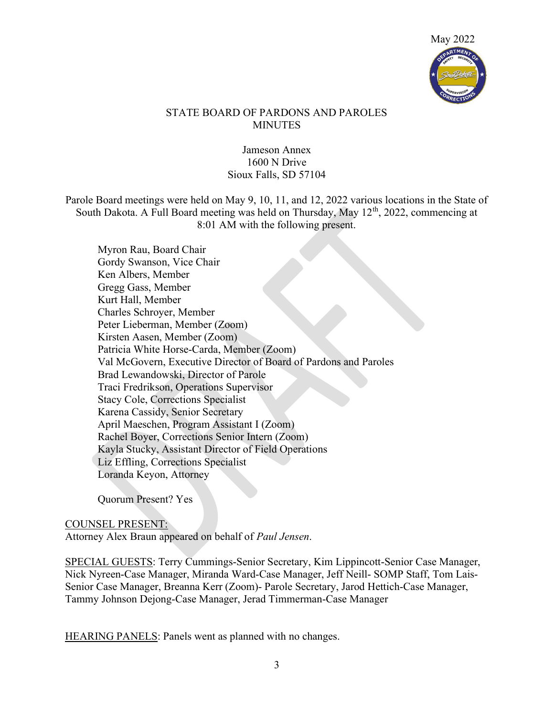

### STATE BOARD OF PARDONS AND PAROLES **MINUTES**

### Jameson Annex 1600 N Drive Sioux Falls, SD 57104

Parole Board meetings were held on May 9, 10, 11, and 12, 2022 various locations in the State of South Dakota. A Full Board meeting was held on Thursday, May  $12<sup>th</sup>$ , 2022, commencing at 8:01 AM with the following present.

Myron Rau, Board Chair Gordy Swanson, Vice Chair Ken Albers, Member Gregg Gass, Member Kurt Hall, Member Charles Schroyer, Member Peter Lieberman, Member (Zoom) Kirsten Aasen, Member (Zoom) Patricia White Horse-Carda, Member (Zoom) Val McGovern, Executive Director of Board of Pardons and Paroles Brad Lewandowski, Director of Parole Traci Fredrikson, Operations Supervisor Stacy Cole, Corrections Specialist Karena Cassidy, Senior Secretary April Maeschen, Program Assistant I (Zoom) Rachel Boyer, Corrections Senior Intern (Zoom) Kayla Stucky, Assistant Director of Field Operations Liz Effling, Corrections Specialist Loranda Keyon, Attorney

Quorum Present? Yes

#### COUNSEL PRESENT:

Attorney Alex Braun appeared on behalf of Paul Jensen.

SPECIAL GUESTS: Terry Cummings-Senior Secretary, Kim Lippincott-Senior Case Manager, Nick Nyreen-Case Manager, Miranda Ward-Case Manager, Jeff Neill- SOMP Staff, Tom Lais-Senior Case Manager, Breanna Kerr (Zoom)- Parole Secretary, Jarod Hettich-Case Manager, Tammy Johnson Dejong-Case Manager, Jerad Timmerman-Case Manager

HEARING PANELS: Panels went as planned with no changes.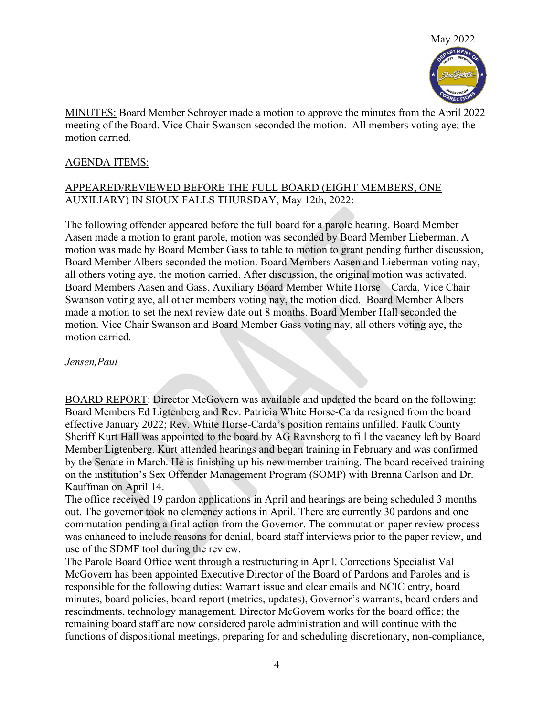

MINUTES: Board Member Schroyer made a motion to approve the minutes from the April 2022 meeting of the Board. Vice Chair Swanson seconded the motion. All members voting aye; the motion carried.

### AGENDA ITEMS:

#### APPEARED/REVIEWED BEFORE THE FULL BOARD (EIGHT MEMBERS, ONE AUXILIARY) IN SIOUX FALLS THURSDAY, May 12th, 2022:

The following offender appeared before the full board for a parole hearing. Board Member Aasen made a motion to grant parole, motion was seconded by Board Member Lieberman. A motion was made by Board Member Gass to table to motion to grant pending further discussion, Board Member Albers seconded the motion. Board Members Aasen and Lieberman voting nay, all others voting aye, the motion carried. After discussion, the original motion was activated. Board Members Aasen and Gass, Auxiliary Board Member White Horse – Carda, Vice Chair Swanson voting aye, all other members voting nay, the motion died. Board Member Albers made a motion to set the next review date out 8 months. Board Member Hall seconded the motion. Vice Chair Swanson and Board Member Gass voting nay, all others voting aye, the motion carried.

Jensen,Paul

BOARD REPORT: Director McGovern was available and updated the board on the following: Board Members Ed Ligtenberg and Rev. Patricia White Horse-Carda resigned from the board effective January 2022; Rev. White Horse-Carda's position remains unfilled. Faulk County Sheriff Kurt Hall was appointed to the board by AG Ravnsborg to fill the vacancy left by Board Member Ligtenberg. Kurt attended hearings and began training in February and was confirmed by the Senate in March. He is finishing up his new member training. The board received training on the institution's Sex Offender Management Program (SOMP) with Brenna Carlson and Dr. Kauffman on April 14.

The office received 19 pardon applications in April and hearings are being scheduled 3 months out. The governor took no clemency actions in April. There are currently 30 pardons and one commutation pending a final action from the Governor. The commutation paper review process was enhanced to include reasons for denial, board staff interviews prior to the paper review, and use of the SDMF tool during the review.

The Parole Board Office went through a restructuring in April. Corrections Specialist Val McGovern has been appointed Executive Director of the Board of Pardons and Paroles and is responsible for the following duties: Warrant issue and clear emails and NCIC entry, board minutes, board policies, board report (metrics, updates), Governor's warrants, board orders and rescindments, technology management. Director McGovern works for the board office; the remaining board staff are now considered parole administration and will continue with the functions of dispositional meetings, preparing for and scheduling discretionary, non-compliance,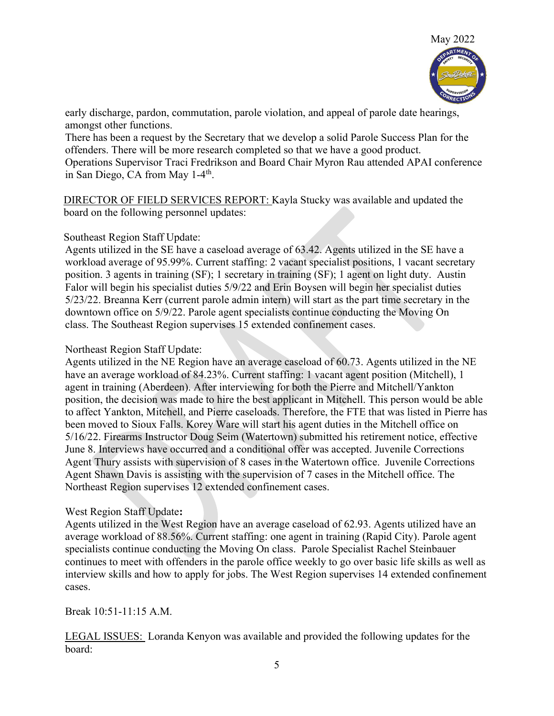

early discharge, pardon, commutation, parole violation, and appeal of parole date hearings, amongst other functions.

There has been a request by the Secretary that we develop a solid Parole Success Plan for the offenders. There will be more research completed so that we have a good product. Operations Supervisor Traci Fredrikson and Board Chair Myron Rau attended APAI conference in San Diego, CA from May 1-4<sup>th</sup>.

DIRECTOR OF FIELD SERVICES REPORT: Kayla Stucky was available and updated the board on the following personnel updates:

### Southeast Region Staff Update:

Agents utilized in the SE have a caseload average of 63.42. Agents utilized in the SE have a workload average of 95.99%. Current staffing: 2 vacant specialist positions, 1 vacant secretary position. 3 agents in training (SF); 1 secretary in training (SF); 1 agent on light duty. Austin Falor will begin his specialist duties 5/9/22 and Erin Boysen will begin her specialist duties 5/23/22. Breanna Kerr (current parole admin intern) will start as the part time secretary in the downtown office on 5/9/22. Parole agent specialists continue conducting the Moving On class. The Southeast Region supervises 15 extended confinement cases.

#### Northeast Region Staff Update:

Agents utilized in the NE Region have an average caseload of 60.73. Agents utilized in the NE have an average workload of 84.23%. Current staffing: 1 vacant agent position (Mitchell), 1 agent in training (Aberdeen). After interviewing for both the Pierre and Mitchell/Yankton position, the decision was made to hire the best applicant in Mitchell. This person would be able to affect Yankton, Mitchell, and Pierre caseloads. Therefore, the FTE that was listed in Pierre has been moved to Sioux Falls. Korey Ware will start his agent duties in the Mitchell office on 5/16/22. Firearms Instructor Doug Seim (Watertown) submitted his retirement notice, effective June 8. Interviews have occurred and a conditional offer was accepted. Juvenile Corrections Agent Thury assists with supervision of 8 cases in the Watertown office. Juvenile Corrections Agent Shawn Davis is assisting with the supervision of 7 cases in the Mitchell office. The Northeast Region supervises 12 extended confinement cases.

### West Region Staff Update:

Agents utilized in the West Region have an average caseload of 62.93. Agents utilized have an average workload of 88.56%. Current staffing: one agent in training (Rapid City). Parole agent specialists continue conducting the Moving On class. Parole Specialist Rachel Steinbauer continues to meet with offenders in the parole office weekly to go over basic life skills as well as interview skills and how to apply for jobs. The West Region supervises 14 extended confinement cases.

Break 10:51-11:15 A.M.

LEGAL ISSUES: Loranda Kenyon was available and provided the following updates for the board: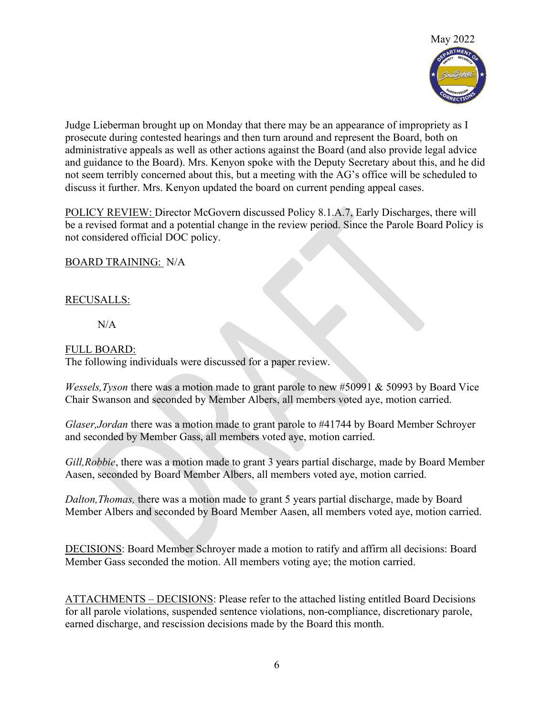

Judge Lieberman brought up on Monday that there may be an appearance of impropriety as I prosecute during contested hearings and then turn around and represent the Board, both on administrative appeals as well as other actions against the Board (and also provide legal advice and guidance to the Board). Mrs. Kenyon spoke with the Deputy Secretary about this, and he did not seem terribly concerned about this, but a meeting with the AG's office will be scheduled to discuss it further. Mrs. Kenyon updated the board on current pending appeal cases.

POLICY REVIEW: Director McGovern discussed Policy 8.1.A.7, Early Discharges, there will be a revised format and a potential change in the review period. Since the Parole Board Policy is not considered official DOC policy.

BOARD TRAINING: N/A

### RECUSALLS:

N/A

#### FULL BOARD:

The following individuals were discussed for a paper review.

*Wessels, Tyson* there was a motion made to grant parole to new  $\#50991 \& 50993$  by Board Vice Chair Swanson and seconded by Member Albers, all members voted aye, motion carried.

Glaser, Jordan there was a motion made to grant parole to #41744 by Board Member Schroyer and seconded by Member Gass, all members voted aye, motion carried.

Gill, Robbie, there was a motion made to grant 3 years partial discharge, made by Board Member Aasen, seconded by Board Member Albers, all members voted aye, motion carried.

Dalton,Thomas, there was a motion made to grant 5 years partial discharge, made by Board Member Albers and seconded by Board Member Aasen, all members voted aye, motion carried.

DECISIONS: Board Member Schroyer made a motion to ratify and affirm all decisions: Board Member Gass seconded the motion. All members voting aye; the motion carried.

ATTACHMENTS – DECISIONS: Please refer to the attached listing entitled Board Decisions for all parole violations, suspended sentence violations, non-compliance, discretionary parole, earned discharge, and rescission decisions made by the Board this month.